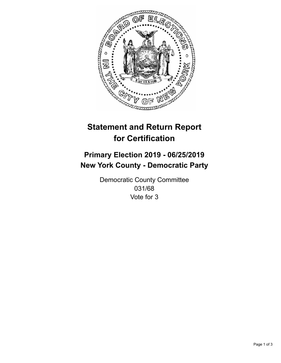

## **Statement and Return Report for Certification**

## **Primary Election 2019 - 06/25/2019 New York County - Democratic Party**

Democratic County Committee 031/68 Vote for 3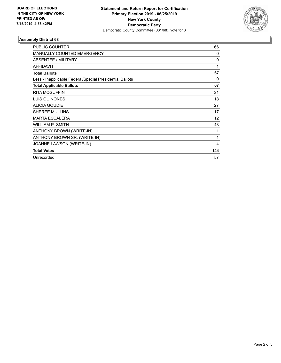

## **Assembly District 68**

| PUBLIC COUNTER                                           | 66       |
|----------------------------------------------------------|----------|
| <b>MANUALLY COUNTED EMERGENCY</b>                        | 0        |
| ABSENTEE / MILITARY                                      | 0        |
| <b>AFFIDAVIT</b>                                         | 1        |
| <b>Total Ballots</b>                                     | 67       |
| Less - Inapplicable Federal/Special Presidential Ballots | $\Omega$ |
| <b>Total Applicable Ballots</b>                          | 67       |
| <b>RITA MCGUFFIN</b>                                     | 21       |
| LUIS QUINONES                                            | 18       |
| <b>ALICIA GOUDIE</b>                                     | 27       |
| <b>SHEREE MULLINS</b>                                    | 17       |
| <b>MARTA ESCALERA</b>                                    | 12       |
| WILLIAM P. SMITH                                         | 43       |
| ANTHONY BROWN (WRITE-IN)                                 | 1        |
| ANTHONY BROWN SR. (WRITE-IN)                             | 1        |
| JOANNE LAWSON (WRITE-IN)                                 | 4        |
| <b>Total Votes</b>                                       | 144      |
| Unrecorded                                               | 57       |